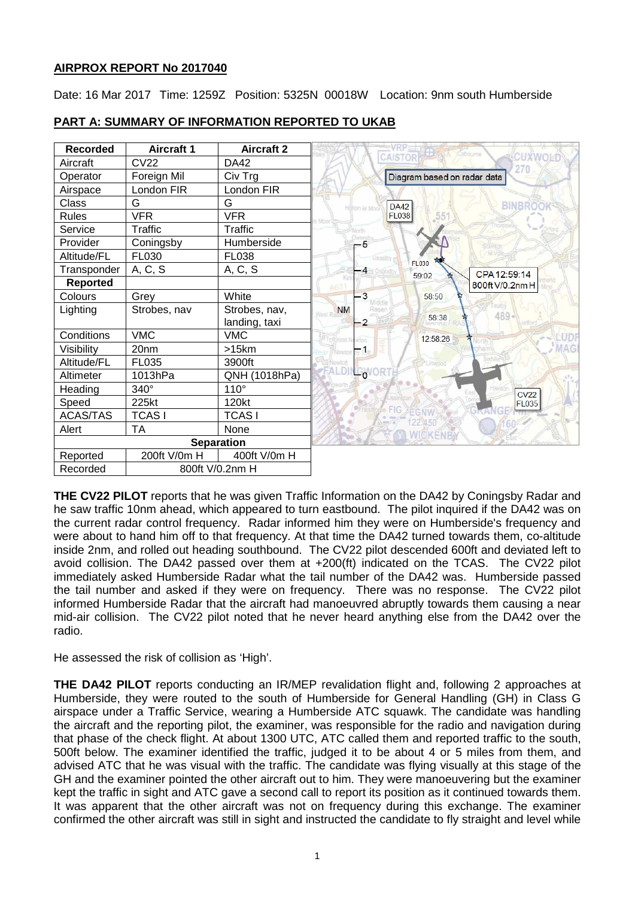## **AIRPROX REPORT No 2017040**

Date: 16 Mar 2017 Time: 1259Z Position: 5325N 00018W Location: 9nm south Humberside

| <b>Recorded</b>   | <b>Aircraft 1</b> | <b>Aircraft 2</b> |           |                |                             | aboume<br>CUXWOLD |
|-------------------|-------------------|-------------------|-----------|----------------|-----------------------------|-------------------|
| Aircraft          | <b>CV22</b>       | DA42              |           |                | <b>CAISTOR</b>              | 270               |
| Operator          | Foreign Mil       | Civ Trg           |           |                | Diagram based on radar data |                   |
| Airspace          | London FIR        | London FIR        |           |                |                             |                   |
| Class             | G                 | G                 |           | Helton ie Moo  | <b>DA42</b>                 |                   |
| <b>Rules</b>      | <b>VFR</b>        | <b>VFR</b>        |           |                | <b>FL038</b>                |                   |
| Service           | Traffic           | Traffic           |           |                |                             |                   |
| Provider          | Coningsby         | Humberside        |           | -5             |                             |                   |
| Altitude/FL       | FL030             | <b>FL038</b>      |           |                | FL030                       |                   |
| Transponder       | A, C, S           | A, C, S           |           | $\overline{4}$ | 59:02                       | CPA 12:59:14      |
| <b>Reported</b>   |                   |                   |           |                |                             | 800ft V/0.2nm H   |
| Colours           | Grey              | White             |           | 3              | 58:50                       |                   |
| Lighting          | Strobes, nav      | Strobes, nav,     | <b>NM</b> |                |                             | 489.              |
|                   |                   | landing, taxi     |           | $\overline{2}$ | 58:38                       |                   |
| Conditions        | <b>VMC</b>        | <b>VMC</b>        |           | kten           | 12:58:26                    |                   |
| Visibility        | 20 <sub>nm</sub>  | >15km             |           |                |                             |                   |
| Altitude/FL       | FL035             | 3900ft            |           |                |                             |                   |
| Altimeter         | 1013hPa           | QNH (1018hPa)     |           | $L_0$          |                             |                   |
| Heading           | 340°              | 110°              |           |                |                             | <b>CV22</b>       |
| Speed             | 225kt             | 120kt             |           |                |                             | <b>FL035</b>      |
| ACAS/TAS          | <b>TCASI</b>      | <b>TCASI</b>      |           |                | 22,450                      |                   |
| Alert             | <b>TA</b>         | None              |           |                | <b>WICKENB</b>              |                   |
| <b>Separation</b> |                   |                   |           |                |                             |                   |
| Reported          | 200ft V/0m H      | 400ft V/0m H      |           |                |                             |                   |
| Recorded          | 800ft V/0.2nm H   |                   |           |                |                             |                   |

## **PART A: SUMMARY OF INFORMATION REPORTED TO UKAB**

**THE CV22 PILOT** reports that he was given Traffic Information on the DA42 by Coningsby Radar and he saw traffic 10nm ahead, which appeared to turn eastbound. The pilot inquired if the DA42 was on the current radar control frequency. Radar informed him they were on Humberside's frequency and were about to hand him off to that frequency. At that time the DA42 turned towards them, co-altitude inside 2nm, and rolled out heading southbound. The CV22 pilot descended 600ft and deviated left to avoid collision. The DA42 passed over them at +200(ft) indicated on the TCAS. The CV22 pilot immediately asked Humberside Radar what the tail number of the DA42 was. Humberside passed the tail number and asked if they were on frequency. There was no response. The CV22 pilot informed Humberside Radar that the aircraft had manoeuvred abruptly towards them causing a near mid-air collision. The CV22 pilot noted that he never heard anything else from the DA42 over the radio.

He assessed the risk of collision as 'High'.

**THE DA42 PILOT** reports conducting an IR/MEP revalidation flight and, following 2 approaches at Humberside, they were routed to the south of Humberside for General Handling (GH) in Class G airspace under a Traffic Service, wearing a Humberside ATC squawk. The candidate was handling the aircraft and the reporting pilot, the examiner, was responsible for the radio and navigation during that phase of the check flight. At about 1300 UTC, ATC called them and reported traffic to the south, 500ft below. The examiner identified the traffic, judged it to be about 4 or 5 miles from them, and advised ATC that he was visual with the traffic. The candidate was flying visually at this stage of the GH and the examiner pointed the other aircraft out to him. They were manoeuvering but the examiner kept the traffic in sight and ATC gave a second call to report its position as it continued towards them. It was apparent that the other aircraft was not on frequency during this exchange. The examiner confirmed the other aircraft was still in sight and instructed the candidate to fly straight and level while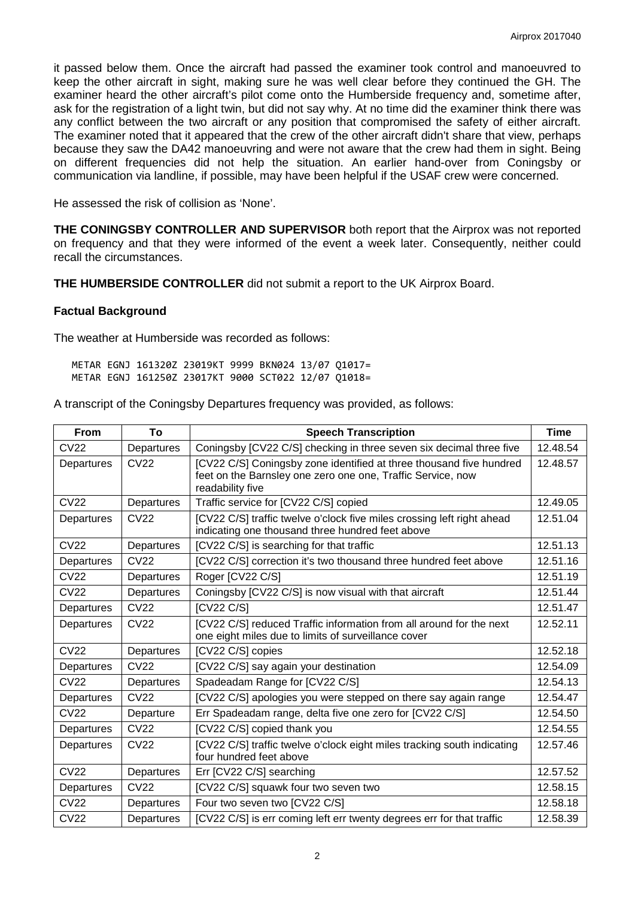it passed below them. Once the aircraft had passed the examiner took control and manoeuvred to keep the other aircraft in sight, making sure he was well clear before they continued the GH. The examiner heard the other aircraft's pilot come onto the Humberside frequency and, sometime after, ask for the registration of a light twin, but did not say why. At no time did the examiner think there was any conflict between the two aircraft or any position that compromised the safety of either aircraft. The examiner noted that it appeared that the crew of the other aircraft didn't share that view, perhaps because they saw the DA42 manoeuvring and were not aware that the crew had them in sight. Being on different frequencies did not help the situation. An earlier hand-over from Coningsby or communication via landline, if possible, may have been helpful if the USAF crew were concerned.

He assessed the risk of collision as 'None'.

**THE CONINGSBY CONTROLLER AND SUPERVISOR** both report that the Airprox was not reported on frequency and that they were informed of the event a week later. Consequently, neither could recall the circumstances.

**THE HUMBERSIDE CONTROLLER** did not submit a report to the UK Airprox Board.

#### **Factual Background**

The weather at Humberside was recorded as follows:

METAR EGNJ 161320Z 23019KT 9999 BKN024 13/07 Q1017= METAR EGNJ 161250Z 23017KT 9000 SCT022 12/07 Q1018=

A transcript of the Coningsby Departures frequency was provided, as follows:

| <b>From</b>      | To          | <b>Speech Transcription</b>                                                                                                                            | <b>Time</b> |
|------------------|-------------|--------------------------------------------------------------------------------------------------------------------------------------------------------|-------------|
| <b>CV22</b>      | Departures  | Coningsby [CV22 C/S] checking in three seven six decimal three five                                                                                    | 12.48.54    |
| Departures       | <b>CV22</b> | [CV22 C/S] Coningsby zone identified at three thousand five hundred<br>feet on the Barnsley one zero one one, Traffic Service, now<br>readability five | 12.48.57    |
| <b>CV22</b>      | Departures  | Traffic service for [CV22 C/S] copied                                                                                                                  | 12.49.05    |
| Departures       | <b>CV22</b> | [CV22 C/S] traffic twelve o'clock five miles crossing left right ahead<br>indicating one thousand three hundred feet above                             | 12.51.04    |
| <b>CV22</b>      | Departures  | [CV22 C/S] is searching for that traffic                                                                                                               | 12.51.13    |
| Departures       | <b>CV22</b> | [CV22 C/S] correction it's two thousand three hundred feet above                                                                                       | 12.51.16    |
| <b>CV22</b>      | Departures  | Roger [CV22 C/S]                                                                                                                                       | 12.51.19    |
| <b>CV22</b>      | Departures  | Coningsby [CV22 C/S] is now visual with that aircraft                                                                                                  | 12.51.44    |
| Departures       | <b>CV22</b> | [CV22 C/S]                                                                                                                                             | 12.51.47    |
| Departures       | <b>CV22</b> | [CV22 C/S] reduced Traffic information from all around for the next<br>one eight miles due to limits of surveillance cover                             | 12.52.11    |
| <b>CV22</b>      | Departures  | [CV22 C/S] copies                                                                                                                                      | 12.52.18    |
| Departures       | <b>CV22</b> | [CV22 C/S] say again your destination                                                                                                                  | 12.54.09    |
| <b>CV22</b>      | Departures  | Spadeadam Range for [CV22 C/S]                                                                                                                         | 12.54.13    |
| Departures       | CV22        | [CV22 C/S] apologies you were stepped on there say again range                                                                                         | 12.54.47    |
| CV <sub>22</sub> | Departure   | Err Spadeadam range, delta five one zero for [CV22 C/S]                                                                                                | 12.54.50    |
| Departures       | <b>CV22</b> | [CV22 C/S] copied thank you                                                                                                                            | 12.54.55    |
| Departures       | <b>CV22</b> | [CV22 C/S] traffic twelve o'clock eight miles tracking south indicating<br>four hundred feet above                                                     | 12.57.46    |
| <b>CV22</b>      | Departures  | Err [CV22 C/S] searching                                                                                                                               | 12.57.52    |
| Departures       | <b>CV22</b> | [CV22 C/S] squawk four two seven two                                                                                                                   | 12.58.15    |
| <b>CV22</b>      | Departures  | Four two seven two [CV22 C/S]                                                                                                                          | 12.58.18    |
| <b>CV22</b>      | Departures  | [CV22 C/S] is err coming left err twenty degrees err for that traffic                                                                                  | 12.58.39    |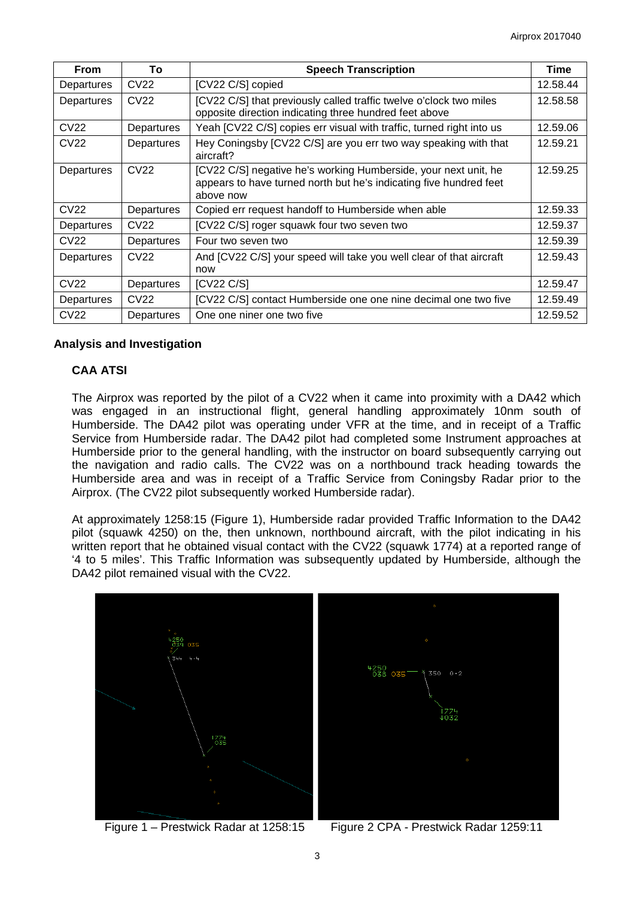| From             | To               | <b>Speech Transcription</b>                                                                                                                        | <b>Time</b> |
|------------------|------------------|----------------------------------------------------------------------------------------------------------------------------------------------------|-------------|
| Departures       | CV22             | [CV22 C/S] copied                                                                                                                                  | 12.58.44    |
| Departures       | CV <sub>22</sub> | [CV22 C/S] that previously called traffic twelve o'clock two miles<br>opposite direction indicating three hundred feet above                       | 12.58.58    |
| <b>CV22</b>      | Departures       | Yeah [CV22 C/S] copies err visual with traffic, turned right into us                                                                               | 12.59.06    |
| <b>CV22</b>      | Departures       | Hey Coningsby [CV22 C/S] are you err two way speaking with that<br>aircraft?                                                                       | 12.59.21    |
| Departures       | CV22             | [CV22 C/S] negative he's working Humberside, your next unit, he<br>appears to have turned north but he's indicating five hundred feet<br>above now | 12.59.25    |
| CV <sub>22</sub> | Departures       | Copied err request handoff to Humberside when able                                                                                                 | 12.59.33    |
| Departures       | CV <sub>22</sub> | [CV22 C/S] roger squawk four two seven two                                                                                                         | 12.59.37    |
| CV <sub>22</sub> | Departures       | Four two seven two                                                                                                                                 | 12.59.39    |
| Departures       | CV <sub>22</sub> | And [CV22 C/S] your speed will take you well clear of that aircraft<br>now                                                                         | 12.59.43    |
| <b>CV22</b>      | Departures       | [CV22 C/S]                                                                                                                                         | 12.59.47    |
| Departures       | CV <sub>22</sub> | [CV22 C/S] contact Humberside one one nine decimal one two five                                                                                    | 12.59.49    |
| <b>CV22</b>      | Departures       | One one niner one two five                                                                                                                         | 12.59.52    |

## **Analysis and Investigation**

# **CAA ATSI**

The Airprox was reported by the pilot of a CV22 when it came into proximity with a DA42 which was engaged in an instructional flight, general handling approximately 10nm south of Humberside. The DA42 pilot was operating under VFR at the time, and in receipt of a Traffic Service from Humberside radar. The DA42 pilot had completed some Instrument approaches at Humberside prior to the general handling, with the instructor on board subsequently carrying out the navigation and radio calls. The CV22 was on a northbound track heading towards the Humberside area and was in receipt of a Traffic Service from Coningsby Radar prior to the Airprox. (The CV22 pilot subsequently worked Humberside radar).

At approximately 1258:15 (Figure 1), Humberside radar provided Traffic Information to the DA42 pilot (squawk 4250) on the, then unknown, northbound aircraft, with the pilot indicating in his written report that he obtained visual contact with the CV22 (squawk 1774) at a reported range of '4 to 5 miles'. This Traffic Information was subsequently updated by Humberside, although the DA42 pilot remained visual with the CV22.



Figure 1 – Prestwick Radar at 1258:15 Figure 2 CPA - Prestwick Radar 1259:11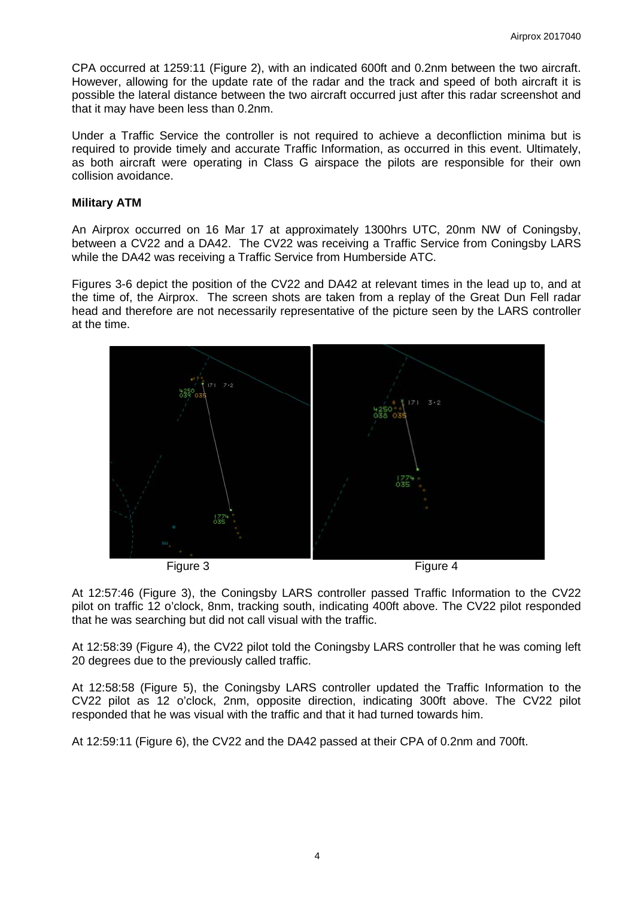CPA occurred at 1259:11 (Figure 2), with an indicated 600ft and 0.2nm between the two aircraft. However, allowing for the update rate of the radar and the track and speed of both aircraft it is possible the lateral distance between the two aircraft occurred just after this radar screenshot and that it may have been less than 0.2nm.

Under a Traffic Service the controller is not required to achieve a deconfliction minima but is required to provide timely and accurate Traffic Information, as occurred in this event. Ultimately, as both aircraft were operating in Class G airspace the pilots are responsible for their own collision avoidance.

### **Military ATM**

An Airprox occurred on 16 Mar 17 at approximately 1300hrs UTC, 20nm NW of Coningsby, between a CV22 and a DA42. The CV22 was receiving a Traffic Service from Coningsby LARS while the DA42 was receiving a Traffic Service from Humberside ATC.

Figures 3-6 depict the position of the CV22 and DA42 at relevant times in the lead up to, and at the time of, the Airprox. The screen shots are taken from a replay of the Great Dun Fell radar head and therefore are not necessarily representative of the picture seen by the LARS controller at the time.



At 12:57:46 (Figure 3), the Coningsby LARS controller passed Traffic Information to the CV22 pilot on traffic 12 o'clock, 8nm, tracking south, indicating 400ft above. The CV22 pilot responded that he was searching but did not call visual with the traffic.

At 12:58:39 (Figure 4), the CV22 pilot told the Coningsby LARS controller that he was coming left 20 degrees due to the previously called traffic.

At 12:58:58 (Figure 5), the Coningsby LARS controller updated the Traffic Information to the CV22 pilot as 12 o'clock, 2nm, opposite direction, indicating 300ft above. The CV22 pilot responded that he was visual with the traffic and that it had turned towards him.

At 12:59:11 (Figure 6), the CV22 and the DA42 passed at their CPA of 0.2nm and 700ft.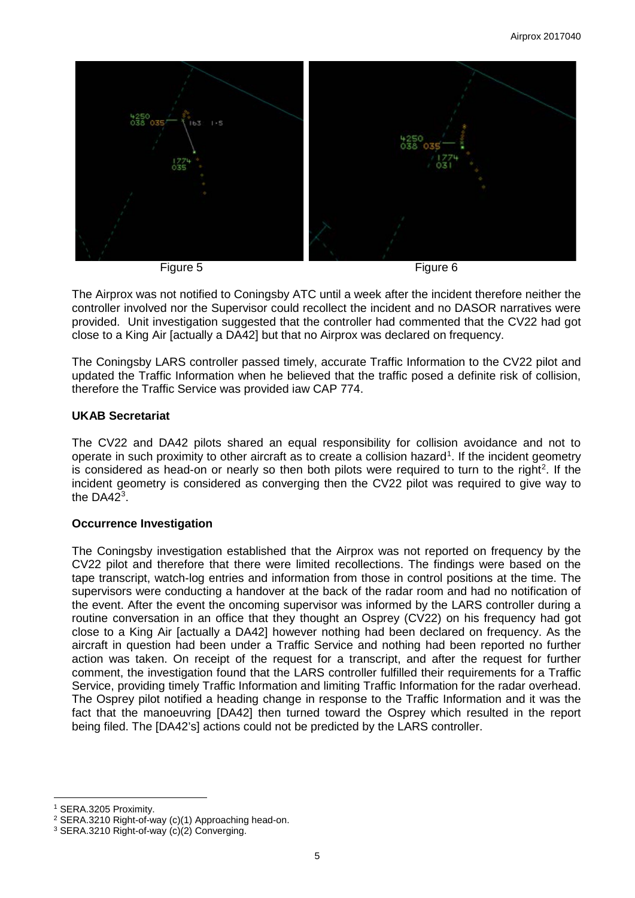

The Airprox was not notified to Coningsby ATC until a week after the incident therefore neither the controller involved nor the Supervisor could recollect the incident and no DASOR narratives were provided. Unit investigation suggested that the controller had commented that the CV22 had got close to a King Air [actually a DA42] but that no Airprox was declared on frequency.

The Coningsby LARS controller passed timely, accurate Traffic Information to the CV22 pilot and updated the Traffic Information when he believed that the traffic posed a definite risk of collision, therefore the Traffic Service was provided iaw CAP 774.

### **UKAB Secretariat**

The CV22 and DA42 pilots shared an equal responsibility for collision avoidance and not to operate in such proximity to other aircraft as to create a collision hazard<sup>[1](#page-4-0)</sup>. If the incident geometry is considered as head-on or nearly so then both pilots were required to turn to the right<sup>[2](#page-4-1)</sup>. If the incident geometry is considered as converging then the CV22 pilot was required to give way to the DA42 $^3$  $^3$ .

## **Occurrence Investigation**

The Coningsby investigation established that the Airprox was not reported on frequency by the CV22 pilot and therefore that there were limited recollections. The findings were based on the tape transcript, watch-log entries and information from those in control positions at the time. The supervisors were conducting a handover at the back of the radar room and had no notification of the event. After the event the oncoming supervisor was informed by the LARS controller during a routine conversation in an office that they thought an Osprey (CV22) on his frequency had got close to a King Air [actually a DA42] however nothing had been declared on frequency. As the aircraft in question had been under a Traffic Service and nothing had been reported no further action was taken. On receipt of the request for a transcript, and after the request for further comment, the investigation found that the LARS controller fulfilled their requirements for a Traffic Service, providing timely Traffic Information and limiting Traffic Information for the radar overhead. The Osprey pilot notified a heading change in response to the Traffic Information and it was the fact that the manoeuvring [DA42] then turned toward the Osprey which resulted in the report being filed. The [DA42's] actions could not be predicted by the LARS controller.

 $\overline{\phantom{a}}$ 

<sup>1</sup> SERA.3205 Proximity.

<span id="page-4-1"></span><span id="page-4-0"></span><sup>2</sup> SERA.3210 Right-of-way (c)(1) Approaching head-on.

<span id="page-4-2"></span><sup>3</sup> SERA.3210 Right-of-way (c)(2) Converging.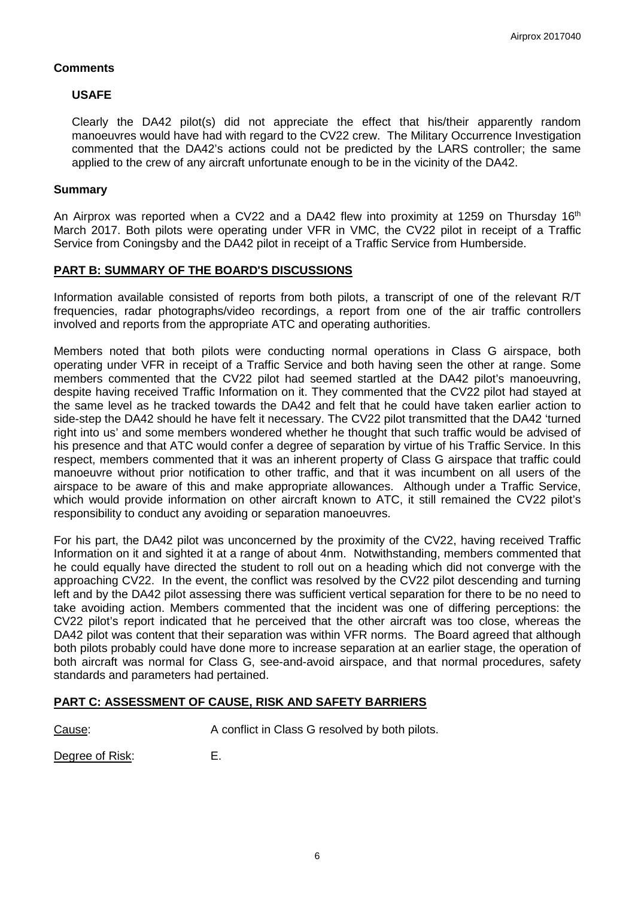### **Comments**

### **USAFE**

Clearly the DA42 pilot(s) did not appreciate the effect that his/their apparently random manoeuvres would have had with regard to the CV22 crew. The Military Occurrence Investigation commented that the DA42's actions could not be predicted by the LARS controller; the same applied to the crew of any aircraft unfortunate enough to be in the vicinity of the DA42.

#### **Summary**

An Airprox was reported when a CV22 and a DA42 flew into proximity at 1259 on Thursday 16<sup>th</sup> March 2017. Both pilots were operating under VFR in VMC, the CV22 pilot in receipt of a Traffic Service from Coningsby and the DA42 pilot in receipt of a Traffic Service from Humberside.

### **PART B: SUMMARY OF THE BOARD'S DISCUSSIONS**

Information available consisted of reports from both pilots, a transcript of one of the relevant R/T frequencies, radar photographs/video recordings, a report from one of the air traffic controllers involved and reports from the appropriate ATC and operating authorities.

Members noted that both pilots were conducting normal operations in Class G airspace, both operating under VFR in receipt of a Traffic Service and both having seen the other at range. Some members commented that the CV22 pilot had seemed startled at the DA42 pilot's manoeuvring, despite having received Traffic Information on it. They commented that the CV22 pilot had stayed at the same level as he tracked towards the DA42 and felt that he could have taken earlier action to side-step the DA42 should he have felt it necessary. The CV22 pilot transmitted that the DA42 'turned right into us' and some members wondered whether he thought that such traffic would be advised of his presence and that ATC would confer a degree of separation by virtue of his Traffic Service. In this respect, members commented that it was an inherent property of Class G airspace that traffic could manoeuvre without prior notification to other traffic, and that it was incumbent on all users of the airspace to be aware of this and make appropriate allowances. Although under a Traffic Service, which would provide information on other aircraft known to ATC, it still remained the CV22 pilot's responsibility to conduct any avoiding or separation manoeuvres.

For his part, the DA42 pilot was unconcerned by the proximity of the CV22, having received Traffic Information on it and sighted it at a range of about 4nm. Notwithstanding, members commented that he could equally have directed the student to roll out on a heading which did not converge with the approaching CV22. In the event, the conflict was resolved by the CV22 pilot descending and turning left and by the DA42 pilot assessing there was sufficient vertical separation for there to be no need to take avoiding action. Members commented that the incident was one of differing perceptions: the CV22 pilot's report indicated that he perceived that the other aircraft was too close, whereas the DA42 pilot was content that their separation was within VFR norms. The Board agreed that although both pilots probably could have done more to increase separation at an earlier stage, the operation of both aircraft was normal for Class G, see-and-avoid airspace, and that normal procedures, safety standards and parameters had pertained.

## **PART C: ASSESSMENT OF CAUSE, RISK AND SAFETY BARRIERS**

Cause: Cause: A conflict in Class G resolved by both pilots.

Degree of Risk: E.